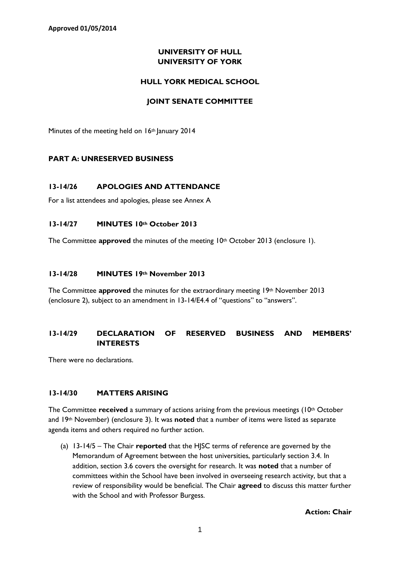**Approved 01/05/2014**

## **UNIVERSITY OF HULL UNIVERSITY OF YORK**

### **HULL YORK MEDICAL SCHOOL**

### **JOINT SENATE COMMITTEE**

Minutes of the meeting held on 16<sup>th</sup> January 2014

## **PART A: UNRESERVED BUSINESS**

## **13-14/26 APOLOGIES AND ATTENDANCE**

For a list attendees and apologies, please see Annex A

#### **13-14/27 MINUTES 10th October 2013**

The Committee **approved** the minutes of the meeting 10<sup>th</sup> October 2013 (enclosure 1).

#### **13-14/28 MINUTES 19th November 2013**

The Committee **approved** the minutes for the extraordinary meeting 19th November 2013 (enclosure 2), subject to an amendment in 13-14/E4.4 of "questions" to "answers".

## **13-14/29 DECLARATION OF RESERVED BUSINESS AND MEMBERS' INTERESTS**

There were no declarations.

## **13-14/30 MATTERS ARISING**

The Committee **received** a summary of actions arising from the previous meetings (10<sup>th</sup> October and 19th November) (enclosure 3). It was **noted** that a number of items were listed as separate agenda items and others required no further action.

(a) 13-14/5 – The Chair **reported** that the HJSC terms of reference are governed by the Memorandum of Agreement between the host universities, particularly section 3.4. In addition, section 3.6 covers the oversight for research. It was **noted** that a number of committees within the School have been involved in overseeing research activity, but that a review of responsibility would be beneficial. The Chair **agreed** to discuss this matter further with the School and with Professor Burgess.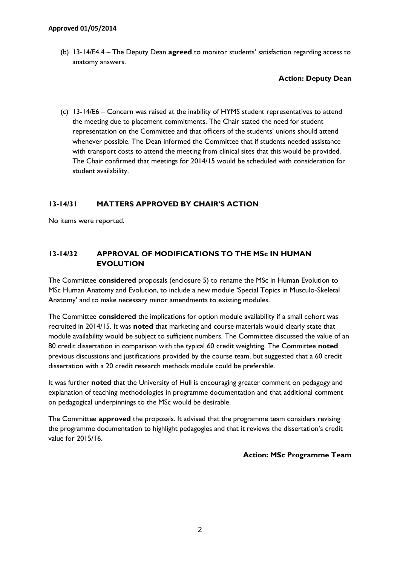(b) 13-14/E4.4 – The Deputy Dean **agreed** to monitor students' satisfaction regarding access to anatomy answers.

**Action: Deputy Dean**

(c) 13-14/E6 – Concern was raised at the inability of HYMS student representatives to attend the meeting due to placement commitments. The Chair stated the need for student representation on the Committee and that officers of the students' unions should attend whenever possible. The Dean informed the Committee that if students needed assistance with transport costs to attend the meeting from clinical sites that this would be provided. The Chair confirmed that meetings for 2014/15 would be scheduled with consideration for student availability.

## **13-14/31 MATTERS APPROVED BY CHAIR'S ACTION**

No items were reported.

## **13-14/32 APPROVAL OF MODIFICATIONS TO THE MSc IN HUMAN EVOLUTION**

The Committee **considered** proposals (enclosure 5) to rename the MSc in Human Evolution to MSc Human Anatomy and Evolution, to include a new module 'Special Topics in Musculo-Skeletal Anatomy' and to make necessary minor amendments to existing modules.

The Committee **considered** the implications for option module availability if a small cohort was recruited in 2014/15. It was **noted** that marketing and course materials would clearly state that module availability would be subject to sufficient numbers. The Committee discussed the value of an 80 credit dissertation in comparison with the typical 60 credit weighting. The Committee **noted** previous discussions and justifications provided by the course team, but suggested that a 60 credit dissertation with a 20 credit research methods module could be preferable.

It was further **noted** that the University of Hull is encouraging greater comment on pedagogy and explanation of teaching methodologies in programme documentation and that additional comment on pedagogical underpinnings to the MSc would be desirable.

The Committee **approved** the proposals. It advised that the programme team considers revising the programme documentation to highlight pedagogies and that it reviews the dissertation's credit value for 2015/16.

**Action: MSc Programme Team**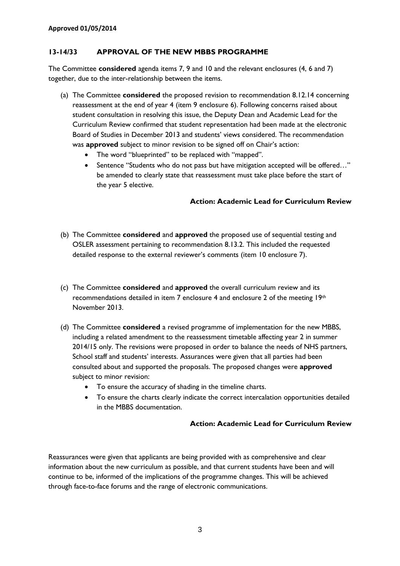### **13-14/33 APPROVAL OF THE NEW MBBS PROGRAMME**

The Committee **considered** agenda items 7, 9 and 10 and the relevant enclosures (4, 6 and 7) together, due to the inter-relationship between the items.

- (a) The Committee **considered** the proposed revision to recommendation 8.12.14 concerning reassessment at the end of year 4 (item 9 enclosure 6). Following concerns raised about student consultation in resolving this issue, the Deputy Dean and Academic Lead for the Curriculum Review confirmed that student representation had been made at the electronic Board of Studies in December 2013 and students' views considered. The recommendation was **approved** subject to minor revision to be signed off on Chair's action:
	- The word "blueprinted" to be replaced with "mapped".
	- Sentence "Students who do not pass but have mitigation accepted will be offered..." be amended to clearly state that reassessment must take place before the start of the year 5 elective.

#### **Action: Academic Lead for Curriculum Review**

- (b) The Committee **considered** and **approved** the proposed use of sequential testing and OSLER assessment pertaining to recommendation 8.13.2. This included the requested detailed response to the external reviewer's comments (item 10 enclosure 7).
- (c) The Committee **considered** and **approved** the overall curriculum review and its recommendations detailed in item 7 enclosure 4 and enclosure 2 of the meeting 19th November 2013.
- (d) The Committee **considered** a revised programme of implementation for the new MBBS, including a related amendment to the reassessment timetable affecting year 2 in summer 2014/15 only. The revisions were proposed in order to balance the needs of NHS partners, School staff and students' interests. Assurances were given that all parties had been consulted about and supported the proposals. The proposed changes were **approved** subject to minor revision:
	- To ensure the accuracy of shading in the timeline charts.
	- To ensure the charts clearly indicate the correct intercalation opportunities detailed in the MBBS documentation.

### **Action: Academic Lead for Curriculum Review**

Reassurances were given that applicants are being provided with as comprehensive and clear information about the new curriculum as possible, and that current students have been and will continue to be, informed of the implications of the programme changes. This will be achieved through face-to-face forums and the range of electronic communications.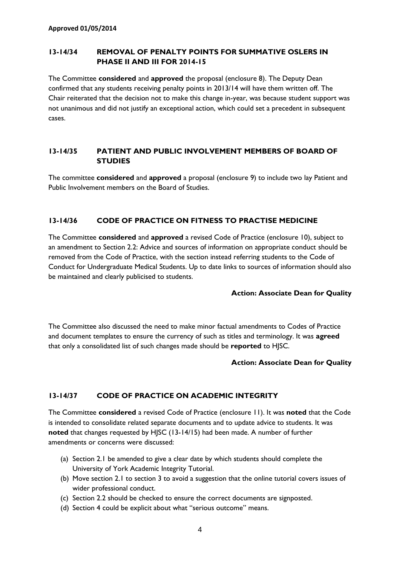## **13-14/34 REMOVAL OF PENALTY POINTS FOR SUMMATIVE OSLERS IN PHASE II AND III FOR 2014-15**

The Committee **considered** and **approved** the proposal (enclosure 8). The Deputy Dean confirmed that any students receiving penalty points in 2013/14 will have them written off. The Chair reiterated that the decision not to make this change in-year, was because student support was not unanimous and did not justify an exceptional action, which could set a precedent in subsequent cases.

## **13-14/35 PATIENT AND PUBLIC INVOLVEMENT MEMBERS OF BOARD OF STUDIES**

The committee **considered** and **approved** a proposal (enclosure 9) to include two lay Patient and Public Involvement members on the Board of Studies.

## **13-14/36 CODE OF PRACTICE ON FITNESS TO PRACTISE MEDICINE**

The Committee **considered** and **approved** a revised Code of Practice (enclosure 10), subject to an amendment to Section 2.2: Advice and sources of information on appropriate conduct should be removed from the Code of Practice, with the section instead referring students to the Code of Conduct for Undergraduate Medical Students. Up to date links to sources of information should also be maintained and clearly publicised to students.

#### **Action: Associate Dean for Quality**

The Committee also discussed the need to make minor factual amendments to Codes of Practice and document templates to ensure the currency of such as titles and terminology. It was **agreed** that only a consolidated list of such changes made should be **reported** to HJSC.

#### **Action: Associate Dean for Quality**

## **13-14/37 CODE OF PRACTICE ON ACADEMIC INTEGRITY**

The Committee **considered** a revised Code of Practice (enclosure 11). It was **noted** that the Code is intended to consolidate related separate documents and to update advice to students. It was **noted** that changes requested by HJSC (13-14/15) had been made. A number of further amendments or concerns were discussed:

- (a) Section 2.1 be amended to give a clear date by which students should complete the University of York Academic Integrity Tutorial.
- (b) Move section 2.1 to section 3 to avoid a suggestion that the online tutorial covers issues of wider professional conduct.
- (c) Section 2.2 should be checked to ensure the correct documents are signposted.
- (d) Section 4 could be explicit about what "serious outcome" means.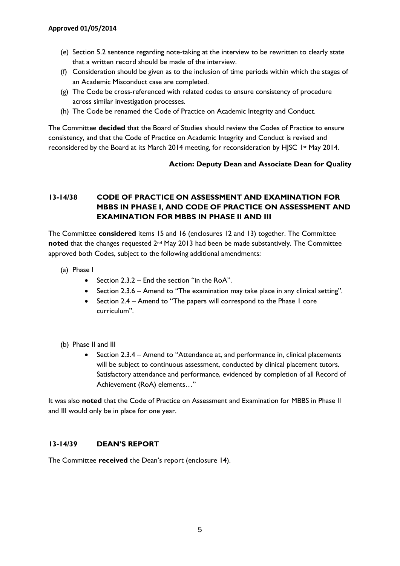- (e) Section 5.2 sentence regarding note-taking at the interview to be rewritten to clearly state that a written record should be made of the interview.
- (f) Consideration should be given as to the inclusion of time periods within which the stages of an Academic Misconduct case are completed.
- (g) The Code be cross-referenced with related codes to ensure consistency of procedure across similar investigation processes.
- (h) The Code be renamed the Code of Practice on Academic Integrity and Conduct.

The Committee **decided** that the Board of Studies should review the Codes of Practice to ensure consistency, and that the Code of Practice on Academic Integrity and Conduct is revised and reconsidered by the Board at its March 2014 meeting, for reconsideration by HJSC 1st May 2014.

## **Action: Deputy Dean and Associate Dean for Quality**

# **13-14/38 CODE OF PRACTICE ON ASSESSMENT AND EXAMINATION FOR MBBS IN PHASE I, AND CODE OF PRACTICE ON ASSESSMENT AND EXAMINATION FOR MBBS IN PHASE II AND III**

The Committee **considered** items 15 and 16 (enclosures 12 and 13) together. The Committee **noted** that the changes requested 2<sup>nd</sup> May 2013 had been be made substantively. The Committee approved both Codes, subject to the following additional amendments:

- (a) Phase I
	- Section  $2.3.2$  End the section "in the RoA".
	- Section 2.3.6 Amend to "The examination may take place in any clinical setting".
	- Section 2.4 Amend to "The papers will correspond to the Phase I core curriculum".
- (b) Phase II and III
	- Section 2.3.4 Amend to "Attendance at, and performance in, clinical placements will be subject to continuous assessment, conducted by clinical placement tutors. Satisfactory attendance and performance, evidenced by completion of all Record of Achievement (RoA) elements…"

It was also **noted** that the Code of Practice on Assessment and Examination for MBBS in Phase II and III would only be in place for one year.

## **13-14/39 DEAN'S REPORT**

The Committee **received** the Dean's report (enclosure 14).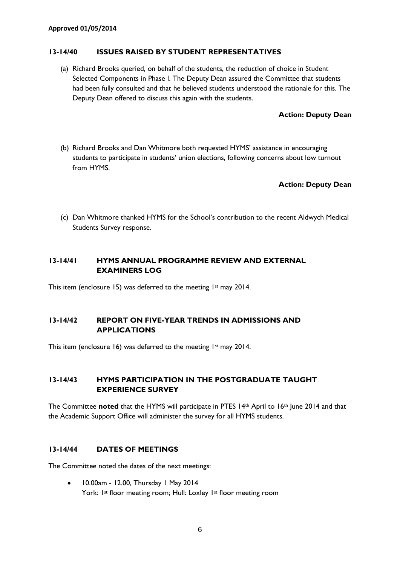#### **13-14/40 ISSUES RAISED BY STUDENT REPRESENTATIVES**

(a) Richard Brooks queried, on behalf of the students, the reduction of choice in Student Selected Components in Phase I. The Deputy Dean assured the Committee that students had been fully consulted and that he believed students understood the rationale for this. The Deputy Dean offered to discuss this again with the students.

#### **Action: Deputy Dean**

(b) Richard Brooks and Dan Whitmore both requested HYMS' assistance in encouraging students to participate in students' union elections, following concerns about low turnout from HYMS.

#### **Action: Deputy Dean**

(c) Dan Whitmore thanked HYMS for the School's contribution to the recent Aldwych Medical Students Survey response.

#### **13-14/41 HYMS ANNUAL PROGRAMME REVIEW AND EXTERNAL EXAMINERS LOG**

This item (enclosure 15) was deferred to the meeting  $1st$  may 2014.

## **13-14/42 REPORT ON FIVE-YEAR TRENDS IN ADMISSIONS AND APPLICATIONS**

This item (enclosure 16) was deferred to the meeting 1st may 2014.

## **13-14/43 HYMS PARTICIPATION IN THE POSTGRADUATE TAUGHT EXPERIENCE SURVEY**

The Committee **noted** that the HYMS will participate in PTES 14<sup>th</sup> April to 16<sup>th</sup> June 2014 and that the Academic Support Office will administer the survey for all HYMS students.

#### **13-14/44 DATES OF MEETINGS**

The Committee noted the dates of the next meetings:

• 10.00am - 12.00, Thursday 1 May 2014 York: 1<sup>st</sup> floor meeting room; Hull: Loxley 1<sup>st</sup> floor meeting room